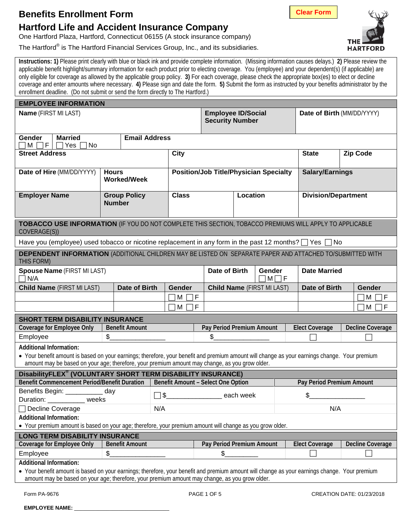## **Benefits Enrollment Form**

# **Hartford Life and Accident Insurance Company**

One Hartford Plaza, Hartford, Connecticut 06155 (A stock insurance company)

The Hartford<sup>®</sup> is The Hartford Financial Services Group, Inc., and its subsidiaries.

**Instructions: 1)** Please print clearly with blue or black ink and provide complete information. (Missing information causes delays.) **2)** Please review the applicable benefit highlight/summary information for each product prior to electing coverage. You (employee) and your dependent(s) (if applicable) are only eligible for coverage as allowed by the applicable group policy. **3)** For each coverage, please check the appropriate box(es) to elect or decline coverage and enter amounts where necessary. **4)** Please sign and date the form. **5)** Submit the form as instructed by your benefits administrator by the enrollment deadline. (Do not submit or send the form directly to The Hartford.)

| <b>EMPLOYEE INFORMATION</b><br><b>Name (FIRST MI LAST)</b><br><b>Employee ID/Social</b><br>Date of Birth (MM/DD/YYYY)                         |                                                                                              |                                                                                                                        |                      |                           |                                                                                                   |                                                                                                                                                                                                                                                                                                                                           |                                                                                                                                                                                                 |                                                                                                                                                                                                                                                                                                                |
|-----------------------------------------------------------------------------------------------------------------------------------------------|----------------------------------------------------------------------------------------------|------------------------------------------------------------------------------------------------------------------------|----------------------|---------------------------|---------------------------------------------------------------------------------------------------|-------------------------------------------------------------------------------------------------------------------------------------------------------------------------------------------------------------------------------------------------------------------------------------------------------------------------------------------|-------------------------------------------------------------------------------------------------------------------------------------------------------------------------------------------------|----------------------------------------------------------------------------------------------------------------------------------------------------------------------------------------------------------------------------------------------------------------------------------------------------------------|
|                                                                                                                                               |                                                                                              |                                                                                                                        |                      |                           |                                                                                                   |                                                                                                                                                                                                                                                                                                                                           |                                                                                                                                                                                                 |                                                                                                                                                                                                                                                                                                                |
|                                                                                                                                               |                                                                                              |                                                                                                                        |                      |                           |                                                                                                   |                                                                                                                                                                                                                                                                                                                                           |                                                                                                                                                                                                 |                                                                                                                                                                                                                                                                                                                |
| Gender<br><b>Married</b><br>$\sqcap$ M $\sqcap$ f $\sqcap$<br>$\Box$ Yes<br>No                                                                |                                                                                              |                                                                                                                        |                      |                           |                                                                                                   |                                                                                                                                                                                                                                                                                                                                           |                                                                                                                                                                                                 |                                                                                                                                                                                                                                                                                                                |
|                                                                                                                                               |                                                                                              | <b>City</b>                                                                                                            |                      |                           |                                                                                                   |                                                                                                                                                                                                                                                                                                                                           | <b>State</b>                                                                                                                                                                                    | <b>Zip Code</b>                                                                                                                                                                                                                                                                                                |
| Date of Hire (MM/DD/YYYY)                                                                                                                     |                                                                                              |                                                                                                                        |                      |                           |                                                                                                   |                                                                                                                                                                                                                                                                                                                                           |                                                                                                                                                                                                 |                                                                                                                                                                                                                                                                                                                |
|                                                                                                                                               |                                                                                              |                                                                                                                        |                      |                           |                                                                                                   |                                                                                                                                                                                                                                                                                                                                           |                                                                                                                                                                                                 |                                                                                                                                                                                                                                                                                                                |
|                                                                                                                                               |                                                                                              | <b>Class</b>                                                                                                           |                      |                           |                                                                                                   |                                                                                                                                                                                                                                                                                                                                           | <b>Division/Department</b>                                                                                                                                                                      |                                                                                                                                                                                                                                                                                                                |
|                                                                                                                                               |                                                                                              |                                                                                                                        |                      |                           |                                                                                                   |                                                                                                                                                                                                                                                                                                                                           |                                                                                                                                                                                                 |                                                                                                                                                                                                                                                                                                                |
|                                                                                                                                               |                                                                                              |                                                                                                                        |                      |                           |                                                                                                   |                                                                                                                                                                                                                                                                                                                                           |                                                                                                                                                                                                 |                                                                                                                                                                                                                                                                                                                |
|                                                                                                                                               |                                                                                              |                                                                                                                        |                      |                           |                                                                                                   |                                                                                                                                                                                                                                                                                                                                           |                                                                                                                                                                                                 |                                                                                                                                                                                                                                                                                                                |
|                                                                                                                                               |                                                                                              |                                                                                                                        |                      |                           |                                                                                                   |                                                                                                                                                                                                                                                                                                                                           |                                                                                                                                                                                                 |                                                                                                                                                                                                                                                                                                                |
| <b>DEPENDENT INFORMATION</b> (ADDITIONAL CHILDREN MAY BE LISTED ON SEPARATE PAPER AND ATTACHED TO/SUBMITTED WITH<br>THIS FORM)                |                                                                                              |                                                                                                                        |                      |                           |                                                                                                   |                                                                                                                                                                                                                                                                                                                                           |                                                                                                                                                                                                 |                                                                                                                                                                                                                                                                                                                |
| <b>Spouse Name (FIRST MI LAST)</b><br>Date of Birth<br>Gender<br><b>Date Married</b><br>N/A<br>$M \prod F$                                    |                                                                                              |                                                                                                                        |                      |                           |                                                                                                   |                                                                                                                                                                                                                                                                                                                                           |                                                                                                                                                                                                 |                                                                                                                                                                                                                                                                                                                |
|                                                                                                                                               |                                                                                              | <b>Gender</b>                                                                                                          |                      |                           |                                                                                                   |                                                                                                                                                                                                                                                                                                                                           | Date of Birth                                                                                                                                                                                   | Gender                                                                                                                                                                                                                                                                                                         |
|                                                                                                                                               |                                                                                              | ΙF<br>M                                                                                                                |                      |                           |                                                                                                   |                                                                                                                                                                                                                                                                                                                                           |                                                                                                                                                                                                 | М<br>٦F                                                                                                                                                                                                                                                                                                        |
|                                                                                                                                               |                                                                                              | F<br>М                                                                                                                 |                      |                           |                                                                                                   | M  <br>l F                                                                                                                                                                                                                                                                                                                                |                                                                                                                                                                                                 |                                                                                                                                                                                                                                                                                                                |
| <b>SHORT TERM DISABILITY INSURANCE</b>                                                                                                        |                                                                                              |                                                                                                                        |                      |                           |                                                                                                   |                                                                                                                                                                                                                                                                                                                                           |                                                                                                                                                                                                 |                                                                                                                                                                                                                                                                                                                |
|                                                                                                                                               |                                                                                              |                                                                                                                        |                      |                           |                                                                                                   |                                                                                                                                                                                                                                                                                                                                           |                                                                                                                                                                                                 | Decline Coverage                                                                                                                                                                                                                                                                                               |
| \$                                                                                                                                            |                                                                                              |                                                                                                                        | \$                   |                           |                                                                                                   |                                                                                                                                                                                                                                                                                                                                           |                                                                                                                                                                                                 |                                                                                                                                                                                                                                                                                                                |
| <b>Additional Information:</b>                                                                                                                |                                                                                              |                                                                                                                        |                      |                           |                                                                                                   |                                                                                                                                                                                                                                                                                                                                           |                                                                                                                                                                                                 |                                                                                                                                                                                                                                                                                                                |
| • Your benefit amount is based on your earnings; therefore, your benefit and premium amount will change as your earnings change. Your premium |                                                                                              |                                                                                                                        |                      |                           |                                                                                                   |                                                                                                                                                                                                                                                                                                                                           |                                                                                                                                                                                                 |                                                                                                                                                                                                                                                                                                                |
|                                                                                                                                               |                                                                                              |                                                                                                                        |                      |                           |                                                                                                   |                                                                                                                                                                                                                                                                                                                                           |                                                                                                                                                                                                 |                                                                                                                                                                                                                                                                                                                |
| <b>Benefit Commencement Period/Benefit Duration</b>                                                                                           |                                                                                              |                                                                                                                        |                      | Pay Period Premium Amount |                                                                                                   |                                                                                                                                                                                                                                                                                                                                           |                                                                                                                                                                                                 |                                                                                                                                                                                                                                                                                                                |
| <sub>.</sub> day                                                                                                                              |                                                                                              |                                                                                                                        |                      |                           |                                                                                                   |                                                                                                                                                                                                                                                                                                                                           |                                                                                                                                                                                                 |                                                                                                                                                                                                                                                                                                                |
|                                                                                                                                               |                                                                                              |                                                                                                                        |                      |                           |                                                                                                   |                                                                                                                                                                                                                                                                                                                                           |                                                                                                                                                                                                 |                                                                                                                                                                                                                                                                                                                |
|                                                                                                                                               | N/A                                                                                          |                                                                                                                        |                      |                           | N/A                                                                                               |                                                                                                                                                                                                                                                                                                                                           |                                                                                                                                                                                                 |                                                                                                                                                                                                                                                                                                                |
| <b>Additional Information:</b>                                                                                                                |                                                                                              |                                                                                                                        |                      |                           |                                                                                                   |                                                                                                                                                                                                                                                                                                                                           |                                                                                                                                                                                                 |                                                                                                                                                                                                                                                                                                                |
|                                                                                                                                               |                                                                                              |                                                                                                                        |                      |                           |                                                                                                   |                                                                                                                                                                                                                                                                                                                                           |                                                                                                                                                                                                 |                                                                                                                                                                                                                                                                                                                |
| <b>LONG TERM DISABILITY INSURANCE</b><br><b>Coverage for Employee Only</b><br>Decline Coverage                                                |                                                                                              |                                                                                                                        |                      |                           |                                                                                                   |                                                                                                                                                                                                                                                                                                                                           |                                                                                                                                                                                                 |                                                                                                                                                                                                                                                                                                                |
|                                                                                                                                               |                                                                                              |                                                                                                                        |                      |                           |                                                                                                   |                                                                                                                                                                                                                                                                                                                                           |                                                                                                                                                                                                 |                                                                                                                                                                                                                                                                                                                |
| Employee<br><b>Additional Information:</b>                                                                                                    |                                                                                              |                                                                                                                        |                      |                           |                                                                                                   |                                                                                                                                                                                                                                                                                                                                           |                                                                                                                                                                                                 |                                                                                                                                                                                                                                                                                                                |
| • Your benefit amount is based on your earnings; therefore, your benefit and premium amount will change as your earnings change. Your premium |                                                                                              |                                                                                                                        |                      |                           |                                                                                                   |                                                                                                                                                                                                                                                                                                                                           |                                                                                                                                                                                                 |                                                                                                                                                                                                                                                                                                                |
|                                                                                                                                               |                                                                                              |                                                                                                                        |                      |                           |                                                                                                   |                                                                                                                                                                                                                                                                                                                                           |                                                                                                                                                                                                 |                                                                                                                                                                                                                                                                                                                |
|                                                                                                                                               | <b>Hours</b><br><b>Number</b><br>Benefits Begin: __________<br><b>Example 18</b> Weeks<br>\$ | <b>Worked/Week</b><br><b>Group Policy</b><br>Date of Birth<br><b>Benefit Amount</b><br>$\Box$<br><b>Benefit Amount</b> | <b>Email Address</b> | \$                        | DisabilityFLEX® (VOLUNTARY SHORT TERM DISABILITY INSURANCE)<br>Benefit Amount - Select One Option | <b>Security Number</b><br>Location<br>Pay Period Premium Amount<br>amount may be based on your age; therefore, your premium amount may change, as you grow older.<br>\$_________________________ each week<br>Pay Period Premium Amount<br>amount may be based on your age; therefore, your premium amount may change, as you grow older. | <b>Position/Job Title/Physician Specialty</b><br><b>Child Name (FIRST MI LAST)</b><br>• Your premium amount is based on your age; therefore, your premium amount will change as you grow older. | <b>Salary/Earnings</b><br>TOBACCO USE INFORMATION (IF YOU DO NOT COMPLETE THIS SECTION, TOBACCO PREMIUMS WILL APPLY TO APPLICABLE<br>Have you (employee) used tobacco or nicotine replacement in any form in the past 12 months? $\Box$ Yes $\Box$ No<br><b>Elect Coverage</b><br>\$_<br><b>Elect Coverage</b> |

**EMPLOYEE NAME:** 



**HARTFOR** 

**Clear Form**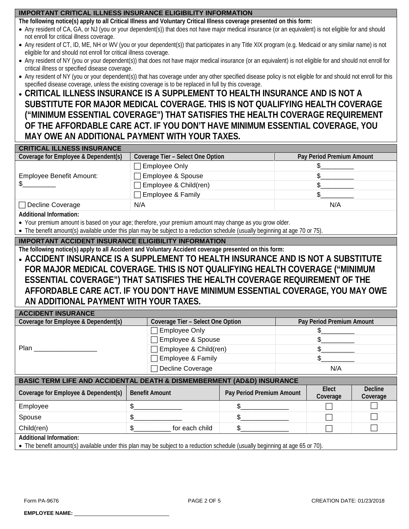### **IMPORTANT CRITICAL ILLNESS INSURANCE ELIGIBILITY INFORMATION**

**The following notice(s) apply to all Critical Illness and Voluntary Critical Illness coverage presented on this form:**

- Any resident of CA, GA, or NJ (you or your dependent(s)) that does not have major medical insurance (or an equivalent) is not eligible for and should not enroll for critical illness coverage.
- Any resident of CT, ID, ME, NH or WV (you or your dependent(s)) that participates in any Title XIX program (e.g. Medicaid or any similar name) is not eligible for and should not enroll for critical illness coverage.
- Any resident of NY (you or your dependent(s)) that does not have major medical insurance (or an equivalent) is not eligible for and should not enroll for critical illness or specified disease coverage.
- Any resident of NY (you or your dependent(s)) that has coverage under any other specified disease policy is not eligible for and should not enroll for this specified disease coverage, unless the existing coverage is to be replaced in full by this coverage.
- **CRITICAL ILLNESS INSURANCE IS A SUPPLEMENT TO HEALTH INSURANCE AND IS NOT A SUBSTITUTE FOR MAJOR MEDICAL COVERAGE. THIS IS NOT QUALIFYING HEALTH COVERAGE ("MINIMUM ESSENTIAL COVERAGE") THAT SATISFIES THE HEALTH COVERAGE REQUIREMENT OF THE AFFORDABLE CARE ACT. IF YOU DON'T HAVE MINIMUM ESSENTIAL COVERAGE, YOU MAY OWE AN ADDITIONAL PAYMENT WITH YOUR TAXES.**

| <b>CRITICAL ILLNESS INSURANCE</b>    |                                                                |     |  |  |  |  |
|--------------------------------------|----------------------------------------------------------------|-----|--|--|--|--|
| Coverage for Employee & Dependent(s) | Coverage Tier - Select One Option<br>Pay Period Premium Amount |     |  |  |  |  |
|                                      | □ Employee Only                                                |     |  |  |  |  |
| Employee Benefit Amount:             | Employee & Spouse                                              |     |  |  |  |  |
|                                      | Employee & Child(ren)                                          |     |  |  |  |  |
|                                      | Employee & Family                                              |     |  |  |  |  |
| Decline Coverage                     | N/A                                                            | N/A |  |  |  |  |
|                                      |                                                                |     |  |  |  |  |

**Additional Information:**

- Your premium amount is based on your age; therefore, your premium amount may change as you grow older.
- The benefit amount(s) available under this plan may be subject to a reduction schedule (usually beginning at age 70 or 75).

### **IMPORTANT ACCIDENT INSURANCE ELIGIBILITY INFORMATION**

**The following notice(s) apply to all Accident and Voluntary Accident coverage presented on this form:**

• **ACCIDENT INSURANCE IS A SUPPLEMENT TO HEALTH INSURANCE AND IS NOT A SUBSTITUTE FOR MAJOR MEDICAL COVERAGE. THIS IS NOT QUALIFYING HEALTH COVERAGE ("MINIMUM ESSENTIAL COVERAGE") THAT SATISFIES THE HEALTH COVERAGE REQUIREMENT OF THE AFFORDABLE CARE ACT. IF YOU DON'T HAVE MINIMUM ESSENTIAL COVERAGE, YOU MAY OWE AN ADDITIONAL PAYMENT WITH YOUR TAXES.**

| <b>ACCIDENT INSURANCE</b>            |                                   |                           |
|--------------------------------------|-----------------------------------|---------------------------|
| Coverage for Employee & Dependent(s) | Coverage Tier - Select One Option | Pay Period Premium Amount |
| Plan                                 | □ Employee Only                   |                           |
|                                      | Employee & Spouse                 |                           |
|                                      | $\Box$ Employee & Child(ren)      |                           |
|                                      | Employee & Family                 |                           |
|                                      | □ Decline Coverage                | N/A                       |
|                                      |                                   |                           |

| <b>BASIC TERM LIFE AND ACCIDENTAL DEATH &amp; DISMEMBERMENT (AD&amp;D) INSURANCE</b> |                       |                           |                   |                            |  |  |
|--------------------------------------------------------------------------------------|-----------------------|---------------------------|-------------------|----------------------------|--|--|
| Coverage for Employee & Dependent(s)                                                 | <b>Benefit Amount</b> | Pay Period Premium Amount | Elect<br>Coverage | <b>Decline</b><br>Coverage |  |  |
| Employee                                                                             |                       |                           |                   |                            |  |  |
| Spouse                                                                               |                       |                           |                   |                            |  |  |
| Child(ren)                                                                           | for each child        |                           |                   |                            |  |  |
| <b>Additional Information:</b>                                                       |                       |                           |                   |                            |  |  |

• The benefit amount(s) available under this plan may be subject to a reduction schedule (usually beginning at age 65 or 70).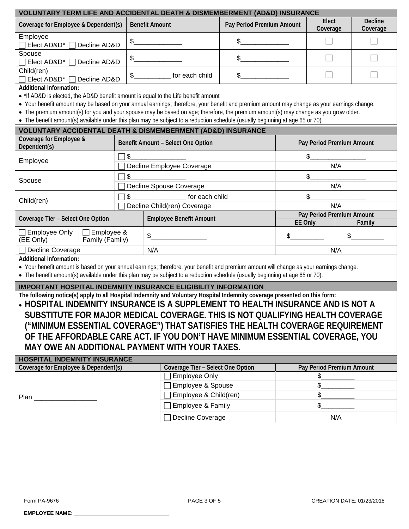| <b>VOLUNTARY TERM LIFE AND ACCIDENTAL DEATH &amp; DISMEMBERMENT (AD&amp;D) INSURANCE</b>                                                                                                                                                                                                                                                                                                                                                                                                                                                               |                         |                                    |                                                       |           |                           |                            |  |  |
|--------------------------------------------------------------------------------------------------------------------------------------------------------------------------------------------------------------------------------------------------------------------------------------------------------------------------------------------------------------------------------------------------------------------------------------------------------------------------------------------------------------------------------------------------------|-------------------------|------------------------------------|-------------------------------------------------------|-----------|---------------------------|----------------------------|--|--|
| Coverage for Employee & Dependent(s)                                                                                                                                                                                                                                                                                                                                                                                                                                                                                                                   |                         | <b>Benefit Amount</b>              | Pay Period Premium Amount                             |           | Elect<br>Coverage         | <b>Decline</b><br>Coverage |  |  |
| Employee<br>Elect AD&D*<br>Decline AD&D                                                                                                                                                                                                                                                                                                                                                                                                                                                                                                                | $\frac{1}{2}$           |                                    | \$                                                    |           |                           |                            |  |  |
| Spouse<br>Elect AD&D*<br>Decline AD&D                                                                                                                                                                                                                                                                                                                                                                                                                                                                                                                  | $\frac{2}{2}$           |                                    | \$                                                    |           |                           |                            |  |  |
| Child(ren)<br>Elect AD&D*<br>Decline AD&D                                                                                                                                                                                                                                                                                                                                                                                                                                                                                                              | $\frac{1}{2}$           | for each child                     | \$                                                    |           |                           |                            |  |  |
| <b>Additional Information:</b><br>• *If AD&D is elected, the AD&D benefit amount is equal to the Life benefit amount<br>• Your benefit amount may be based on your annual earnings; therefore, your benefit and premium amount may change as your earnings change.<br>• The premium amount(s) for you and your spouse may be based on age; therefore, the premium amount(s) may change as you grow older.<br>• The benefit amount(s) available under this plan may be subject to a reduction schedule (usually beginning at age 65 or 70).             |                         |                                    |                                                       |           |                           |                            |  |  |
| <b>VOLUNTARY ACCIDENTAL DEATH &amp; DISMEMBERMENT (AD&amp;D) INSURANCE</b>                                                                                                                                                                                                                                                                                                                                                                                                                                                                             |                         |                                    |                                                       |           |                           |                            |  |  |
| Coverage for Employee &<br>Dependent(s)                                                                                                                                                                                                                                                                                                                                                                                                                                                                                                                |                         | Benefit Amount - Select One Option |                                                       |           | Pay Period Premium Amount |                            |  |  |
| Employee                                                                                                                                                                                                                                                                                                                                                                                                                                                                                                                                               | $\frac{1}{2}$           | Decline Employee Coverage          |                                                       | \$<br>N/A |                           |                            |  |  |
| Spouse                                                                                                                                                                                                                                                                                                                                                                                                                                                                                                                                                 | $\frac{1}{2}$<br>$\Box$ |                                    |                                                       | \$        |                           |                            |  |  |
|                                                                                                                                                                                                                                                                                                                                                                                                                                                                                                                                                        |                         | Decline Spouse Coverage            |                                                       | N/A       |                           |                            |  |  |
| Child(ren)                                                                                                                                                                                                                                                                                                                                                                                                                                                                                                                                             | \$.                     | for each child                     | \$<br>N/A                                             |           |                           |                            |  |  |
| Decline Child(ren) Coverage                                                                                                                                                                                                                                                                                                                                                                                                                                                                                                                            |                         |                                    |                                                       |           |                           |                            |  |  |
| Coverage Tier - Select One Option                                                                                                                                                                                                                                                                                                                                                                                                                                                                                                                      |                         | <b>Employee Benefit Amount</b>     | Pay Period Premium Amount<br><b>EE Only</b><br>Family |           |                           |                            |  |  |
| $\Box$ Employee &<br>$\Box$ Employee Only<br>(EE Only)<br>Family (Family)                                                                                                                                                                                                                                                                                                                                                                                                                                                                              |                         | \$                                 |                                                       | \$        | \$                        |                            |  |  |
| Decline Coverage                                                                                                                                                                                                                                                                                                                                                                                                                                                                                                                                       | N/A                     |                                    |                                                       |           | N/A                       |                            |  |  |
| <b>Additional Information:</b><br>• Your benefit amount is based on your annual earnings; therefore, your benefit and premium amount will change as your earnings change.<br>• The benefit amount(s) available under this plan may be subject to a reduction schedule (usually beginning at age 65 or 70).                                                                                                                                                                                                                                             |                         |                                    |                                                       |           |                           |                            |  |  |
| <b>IMPORTANT HOSPITAL INDEMNITY INSURANCE ELIGIBILITY INFORMATION</b>                                                                                                                                                                                                                                                                                                                                                                                                                                                                                  |                         |                                    |                                                       |           |                           |                            |  |  |
| The following notice(s) apply to all Hospital Indemnity and Voluntary Hospital Indemnity coverage presented on this form:<br>HOSPITAL INDEMNITY INSURANCE IS A SUPPLEMENT TO HEALTH INSURANCE AND IS NOT A<br>SUBSTITUTE FOR MAJOR MEDICAL COVERAGE. THIS IS NOT QUALIFYING HEALTH COVERAGE<br>("MINIMUM ESSENTIAL COVERAGE") THAT SATISFIES THE HEALTH COVERAGE REQUIREMENT<br>OF THE AFFORDABLE CARE ACT. IF YOU DON'T HAVE MINIMUM ESSENTIAL COVERAGE, YOU<br>MAY OWE AN ADDITIONAL PAYMENT WITH YOUR TAXES.<br><b>HOSPITAL INDEMNITY INSURANCE</b> |                         |                                    |                                                       |           |                           |                            |  |  |
| Coverage for Employee & Dependent(s)<br>Coverage Tier - Select One Option<br>Pay Period Premium Amount                                                                                                                                                                                                                                                                                                                                                                                                                                                 |                         |                                    |                                                       |           |                           |                            |  |  |
|                                                                                                                                                                                                                                                                                                                                                                                                                                                                                                                                                        |                         | Employee Only<br>Employee & Spouse |                                                       |           | $\frac{1}{2}$<br>\$<br>\$ |                            |  |  |
| Plan <b>Planet</b>                                                                                                                                                                                                                                                                                                                                                                                                                                                                                                                                     |                         | Employee & Child(ren)              |                                                       |           | \$                        |                            |  |  |
|                                                                                                                                                                                                                                                                                                                                                                                                                                                                                                                                                        |                         | Employee & Family                  |                                                       |           |                           |                            |  |  |
|                                                                                                                                                                                                                                                                                                                                                                                                                                                                                                                                                        |                         |                                    | Decline Coverage                                      |           |                           | N/A                        |  |  |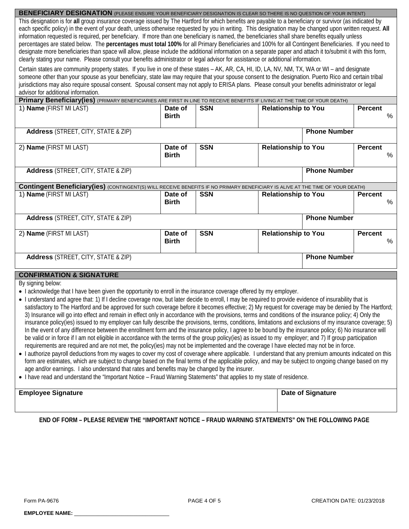#### **BENEFICIARY DESIGNATION** (PLEASE ENSURE YOUR BENEFICIARY DESIGNATION IS CLEAR SO THERE IS NO QUESTION OF YOUR INTENT) This designation is for **all** group insurance coverage issued by The Hartford for which benefits are payable to a beneficiary or survivor (as indicated by each specific policy) in the event of your death, unless otherwise requested by you in writing. This designation may be changed upon written request. **All** information requested is required, per beneficiary. If more than one beneficiary is named, the beneficiaries shall share benefits equally unless percentages are stated below. The **percentages must total 100%** for all Primary Beneficiaries and 100% for all Contingent Beneficiaries. If you need to designate more beneficiaries than space will allow, please include the additional information on a separate paper and attach it to/submit it with this form, clearly stating your name. Please consult your benefits administrator or legal advisor for assistance or additional information.

Certain states are community property states. If you live in one of these states – AK, AR, CA, HI, ID, LA, NV, NM, TX, WA or WI – and designate someone other than your spouse as your beneficiary, state law may require that your spouse consent to the designation. Puerto Rico and certain tribal jurisdictions may also require spousal consent. Spousal consent may not apply to ERISA plans. Please consult your benefits administrator or legal advisor for additional information.

| Primary Beneficiary(ies) (PRIMARY BENEFICIARIES ARE FIRST IN LINE TO RECEIVE BENEFITS IF LIVING AT THE TIME OF YOUR DEATH)                                                                                                                                                                                                                                                                                                                                 |                         |            |                            |                     |                        |
|------------------------------------------------------------------------------------------------------------------------------------------------------------------------------------------------------------------------------------------------------------------------------------------------------------------------------------------------------------------------------------------------------------------------------------------------------------|-------------------------|------------|----------------------------|---------------------|------------------------|
| 1) Name (FIRST MI LAST)                                                                                                                                                                                                                                                                                                                                                                                                                                    | Date of<br><b>Birth</b> | <b>SSN</b> | <b>Relationship to You</b> |                     | <b>Percent</b><br>%    |
| <b>Address</b> (STREET, CITY, STATE & ZIP)                                                                                                                                                                                                                                                                                                                                                                                                                 |                         |            |                            | <b>Phone Number</b> |                        |
| 2) Name (FIRST MI LAST)                                                                                                                                                                                                                                                                                                                                                                                                                                    | Date of<br><b>Birth</b> | <b>SSN</b> | <b>Relationship to You</b> |                     | <b>Percent</b><br>$\%$ |
| <b>Address</b> (STREET, CITY, STATE & ZIP)                                                                                                                                                                                                                                                                                                                                                                                                                 |                         |            |                            | <b>Phone Number</b> |                        |
| <b>Contingent Beneficiary(ies)</b> (CONTINGENT(S) WILL RECEIVE BENEFITS IF NO PRIMARY BENEFICIARY IS ALIVE AT THE TIME OF YOUR DEATH)                                                                                                                                                                                                                                                                                                                      |                         |            |                            |                     |                        |
| 1) Name (FIRST MI LAST)                                                                                                                                                                                                                                                                                                                                                                                                                                    | Date of<br><b>Birth</b> | <b>SSN</b> | <b>Relationship to You</b> |                     | <b>Percent</b><br>%    |
| <b>Address</b> (STREET, CITY, STATE & ZIP)                                                                                                                                                                                                                                                                                                                                                                                                                 |                         |            |                            | <b>Phone Number</b> |                        |
| 2) Name (FIRST MI LAST)                                                                                                                                                                                                                                                                                                                                                                                                                                    | Date of<br><b>Birth</b> | <b>SSN</b> | <b>Relationship to You</b> |                     | <b>Percent</b><br>%    |
| <b>Address</b> (STREET, CITY, STATE & ZIP)                                                                                                                                                                                                                                                                                                                                                                                                                 |                         |            |                            | <b>Phone Number</b> |                        |
| <b>CONFIRMATION &amp; SIGNATURE</b>                                                                                                                                                                                                                                                                                                                                                                                                                        |                         |            |                            |                     |                        |
| By signing below:<br>• I acknowledge that I have been given the opportunity to enroll in the insurance coverage offered by my employer.<br>• I understand and agree that: 1) If I decline coverage now, but later decide to enroll, I may be required to provide evidence of insurability that is<br>catisfactory to The Hartford and he annroved for such coverage hefore it hecomes effective; 2) My request for coverage may be depied by The Hartford; |                         |            |                            |                     |                        |

- for such coverage before it becomes effective; 2) My request for c 3) Insurance will go into effect and remain in effect only in accordance with the provisions, terms and conditions of the insurance policy; 4) Only the insurance policy(ies) issued to my employer can fully describe the provisions, terms, conditions, limitations and exclusions of my insurance coverage; 5) In the event of any difference between the enrollment form and the insurance policy, I agree to be bound by the insurance policy; 6) No insurance will be valid or in force if I am not eligible in accordance with the terms of the group policy(ies) as issued to my employer; and 7) If group participation requirements are required and are not met, the policy(ies) may not be implemented and the coverage I have elected may not be in force.
- I authorize payroll deductions from my wages to cover my cost of coverage where applicable. I understand that any premium amounts indicated on this form are estimates, which are subject to change based on the final terms of the applicable policy, and may be subject to ongoing change based on my age and/or earnings. I also understand that rates and benefits may be changed by the insurer.
- I have read and understand the "Important Notice Fraud Warning Statements" that applies to my state of residence.

| <b>Employee Signature</b> | Date of Signature |
|---------------------------|-------------------|
|                           |                   |

**END OF FORM – PLEASE REVIEW THE "IMPORTANT NOTICE – FRAUD WARNING STATEMENTS" ON THE FOLLOWING PAGE**